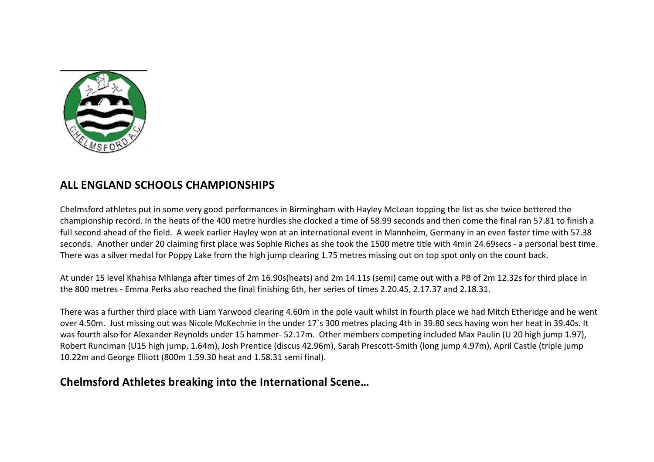

## **ALL ENGLAND SCHOOLS CHAMPIONSHIPS**

Chelmsford athletes put in some very good performances in Birmingham with Hayley McLean topping the list as she twice bettered the championship record. In the heats of the 400 metre hurdles she clocked a time of 58.99 seconds and then come the final ran 57.81 to finish a full second ahead of the field. A week earlier Hayley won at an international event in Mannheim, Germany in an even faster time with 57.38 seconds. Another under 20 claiming first place was Sophie Riches as she took the 1500 metre title with 4min 24.69secs - a personal best time. There was a silver medal for Poppy Lake from the high jump clearing 1.75 metres missing out on top spot only on the count back.

At under 15 level Khahisa Mhlanga after times of 2m 16.90s(heats) and 2m 14.11s (semi) came out with a PB of 2m 12.32s for third place in the 800 metres - Emma Perks also reached the final finishing 6th, her series of times 2.20.45, 2.17.37 and 2.18.31.

There was a further third place with Liam Yarwood clearing 4.60m in the pole vault whilst in fourth place we had Mitch Etheridge and he went over 4.50m. Just missing out was Nicole McKechnie in the under 17's 300 metres placing 4th in 39.80 secs having won her heat in 39.40s. It was fourth also for Alexander Reynolds under 15 hammer- 52.17m. Other members competing included Max Paulin (U 20 high jump 1.97), Robert Runciman (U15 high jump, 1.64m), Josh Prentice (discus 42.96m), Sarah Prescott-Smith (long jump 4.97m), April Castle (triple jump 10.22m and George Elliott (800m 1.59.30 heat and 1.58.31 semi final).

## **Chelmsford Athletes breaking into the International Scene...**